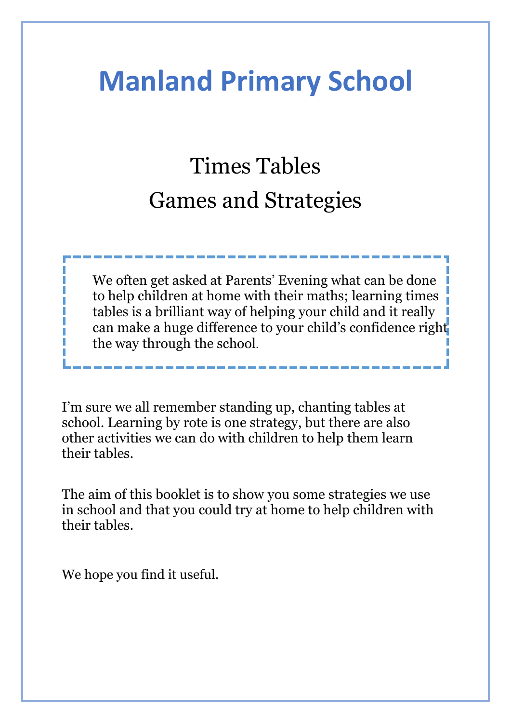# **Manland Primary School**

## Times Tables Games and Strategies

We often get asked at Parents' Evening what can be done to help children at home with their maths; learning times tables is a brilliant way of helping your child and it really can make a huge difference to your child's confidence right the way through the school.

---------

I'm sure we all remember standing up, chanting tables at school. Learning by rote is one strategy, but there are also other activities we can do with children to help them learn their tables.

The aim of this booklet is to show you some strategies we use in school and that you could try at home to help children with their tables.

We hope you find it useful.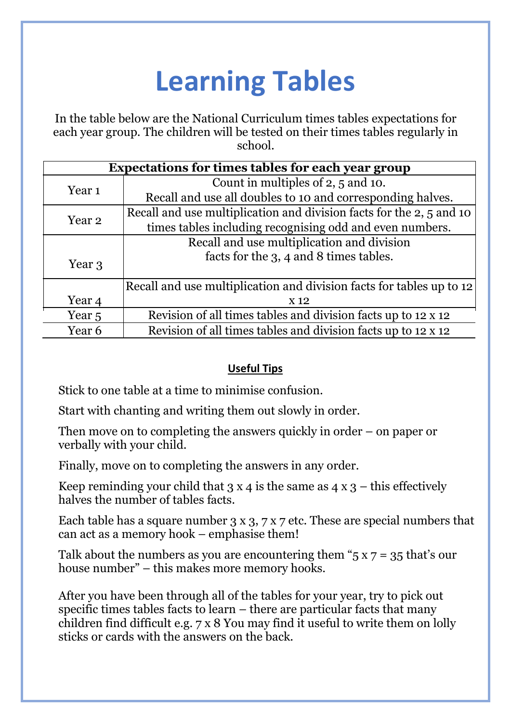# **Learning Tables**

In the table below are the National Curriculum times tables expectations for each year group. The children will be tested on their times tables regularly in school.

|                   | <b>Expectations for times tables for each year group</b>             |
|-------------------|----------------------------------------------------------------------|
|                   | Count in multiples of 2, 5 and 10.                                   |
| Year <sub>1</sub> | Recall and use all doubles to 10 and corresponding halves.           |
| Year <sub>2</sub> | Recall and use multiplication and division facts for the 2, 5 and 10 |
|                   | times tables including recognising odd and even numbers.             |
|                   | Recall and use multiplication and division                           |
| Year 3            | facts for the 3, 4 and 8 times tables.                               |
|                   |                                                                      |
|                   | Recall and use multiplication and division facts for tables up to 12 |
| Year 4            | X <sub>12</sub>                                                      |
| Year <sub>5</sub> | Revision of all times tables and division facts up to 12 x 12        |
| Year 6            | Revision of all times tables and division facts up to 12 x 12        |

### **Useful Tips**

Stick to one table at a time to minimise confusion.

Start with chanting and writing them out slowly in order.

Then move on to completing the answers quickly in order – on paper or verbally with your child.

Finally, move on to completing the answers in any order.

Keep reminding your child that  $3 \times 4$  is the same as  $4 \times 3$  – this effectively halves the number of tables facts.

Each table has a square number 3 x 3, 7 x 7 etc. These are special numbers that can act as a memory hook – emphasise them!

Talk about the numbers as you are encountering them " $5 \times 7 = 35$  that's our house number" – this makes more memory hooks.

After you have been through all of the tables for your year, try to pick out specific times tables facts to learn – there are particular facts that many children find difficult e.g. 7 x 8 You may find it useful to write them on lolly sticks or cards with the answers on the back.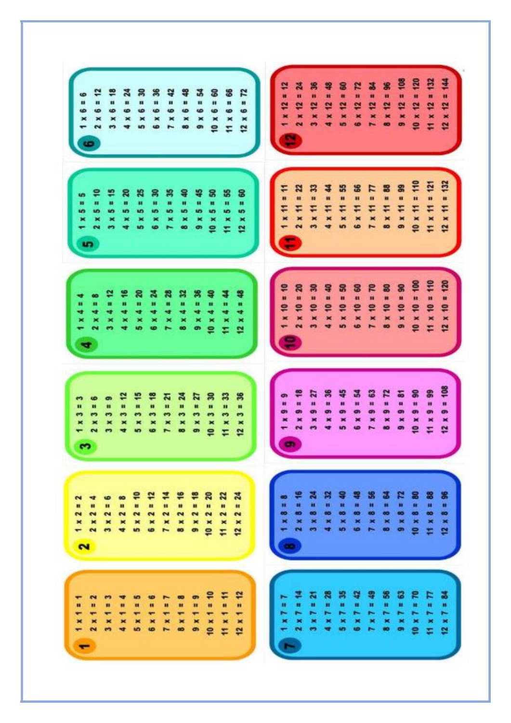| 6<br>$\mathbf{u}$<br>10<br>$\overline{1}$<br>$\bullet$                     | 쀼<br>2<br>Ħ<br>m<br>6<br>œ<br>×<br>$\overline{\mathbf{x}}$<br>$\overline{\phantom{a}}$<br>S | $\boldsymbol{z}$<br>n<br>¢<br>× | 窝<br>n<br>ه<br>×<br>S                           | 噐<br>n<br>G<br>×<br>G                          | 유<br>m<br>œ<br>×<br>-         | 等<br>n<br>6<br>×<br>œ                           | 嵓<br>$\mathbf{H}$<br>6<br>×<br>G                     | ន<br>$\mathbf{u}$<br>6<br>×<br>$\mathbf{e}$ | 8<br>$\blacksquare$<br>G<br>×<br>Ξ | r<br>$\blacksquare$<br>4<br>$\mathbf{x}$<br>t2                                  | $12 = 12$<br>×                | 지<br>u<br>e<br>×<br>$\sim$             | 噐<br>n<br>a<br>$\overline{\mathbf{x}}$<br>$\bullet$ | \$<br>u<br>R     | 8<br>٠<br>a<br>m              | r<br>n<br>있<br>CO                | 3<br>×<br>e<br>-            | 8<br>$\mathbf{u}$<br>a<br>×<br>$\bullet$ | ε<br>Ħ<br>¥<br>×<br>$\bullet$ | ã<br>Ħ<br>10 x 12                | ã<br>н<br>a<br>×<br>÷   | $\frac{3}{4}$<br>н<br>¥<br>×<br>望                 |
|----------------------------------------------------------------------------|---------------------------------------------------------------------------------------------|---------------------------------|-------------------------------------------------|------------------------------------------------|-------------------------------|-------------------------------------------------|------------------------------------------------------|---------------------------------------------|------------------------------------|---------------------------------------------------------------------------------|-------------------------------|----------------------------------------|-----------------------------------------------------|------------------|-------------------------------|----------------------------------|-----------------------------|------------------------------------------|-------------------------------|----------------------------------|-------------------------|---------------------------------------------------|
| S<br>$\blacksquare$<br>S<br>S                                              | e<br>m<br>n<br><b>ID</b><br>S<br>œ                                                          | ន<br>n<br>m                     | æ<br>m<br><b>IO</b><br>ж<br>m                   | ន<br>m<br><b>SD</b><br>G                       | 翯<br>œ<br>S                   | ş<br>о<br><b>SP</b><br>œ                        | 4<br>œ<br><b>in</b><br>×<br>0                        | ន<br>u<br>S<br>×<br>9                       | s<br>u<br>Đ<br>×<br>≂              | 8<br>u<br>S<br>х<br>딩                                                           | ÷<br>п<br>÷<br>×              | R<br>m<br>×<br>$\overline{\mathbf{c}}$ | 冩<br>m<br>÷<br>×<br>$\bullet$                       | 1<br>m<br>Ŧ<br>× | S,<br>m<br>÷<br>×<br>m        | 5<br>m<br>∓<br>×<br>¢            | F<br>$\mathbf{u}$<br>∓<br>× | 噐<br>m<br>÷<br>×<br>$\bullet$            | g<br>m<br>÷<br>×<br>S         | e<br>$\mathbf{u}$<br>F<br>×<br>e | ë<br>n<br>F<br>×<br>H   | 132<br>٠<br>F<br>×<br>12                          |
| n<br>×<br>÷                                                                | 언<br>Ħ<br>n<br>u<br>×<br>×<br><b>CH</b><br>ຶ                                                | ۴<br>m<br>寸<br>×<br>₩           | ន<br>$\mathbf{u}$<br>₩<br>×<br><b>in</b>        | Ħ,<br>$\blacksquare$<br>÷<br>×<br>G            | 胃<br>m<br>₩<br>×<br>-         | ន<br>٠<br>Ħ<br>×<br>$\bullet$                   | 篙<br>m<br>s<br>×<br>e                                | ş<br>ü<br>₹<br>×<br>$\bullet$               | ३<br>n<br>÷<br>$\blacksquare$<br>Ξ | 等<br>u<br>¢<br>×<br>으                                                           | a,<br>n<br>e<br>$\frac{1}{2}$ | 暠<br>m<br>e<br>2 x                     | 呂<br>m<br>유<br>×                                    | S<br>n<br>e<br>× | 8<br>n<br>s<br>×<br><b>MD</b> | 8<br>$\mathbf{u}$<br>₽<br>×<br>G | g<br>m<br>g<br>×<br>-       | 8<br>Ħ<br>s<br>×<br>æ                    | 8<br>٠<br>e<br>×<br><b>on</b> | \$<br>u<br>$\bullet$<br>10 x     | F10<br>$10 =$<br>×<br>× | 120<br>$\blacksquare$<br>s<br>$\pmb{\times}$<br>R |
| ш<br>S                                                                     | п<br>п                                                                                      | u                               | r<br>m                                          | r<br>п                                         | 萬<br>u                        | ,<br>ш                                          | R<br>п<br>S<br>o                                     | 吕<br>$\blacksquare$<br>S<br>×               | 噐<br>n<br>S<br>×                   | 禺<br>п<br>m<br>×<br>R                                                           | Œ<br><b>GR</b>                |                                        | ឆ<br>m<br>G                                         | 噐<br>п<br>G      | п<br>œ<br>m                   | Ħ                                | ь<br>п<br>G)                | m<br>ຶ                                   | ŏ<br>m<br>¢<br>×<br>e         | ន<br>u<br>$\bullet$<br>×<br>e    | g,<br>m<br>G<br>×<br>Φ  | as-<br>u<br>G<br>×<br>u                           |
| G.<br>п<br>$\sim$<br>$\sim$<br>×<br>$\sim$<br>٠<br>$\overline{\mathbf{N}}$ | π<br>п<br>ż<br>×<br>$\bullet$                                                               | н<br>Z<br>×<br><b>A</b>         | ш<br>$\overline{\mathbf{u}}$<br>×<br><b>SID</b> | m<br>$\overline{\mathbf{r}}$<br>×<br>$\bullet$ | п<br>2<br>×<br>$\overline{ }$ | u<br>$\overline{\phantom{a}}$<br>×<br>$\bullet$ | #<br>Ħ<br>$\overline{\phantom{a}}$<br>×<br>$\bullet$ | ន<br>m<br>2<br>×<br>e                       | Z<br>n<br>11 x 2                   | 深<br>$\mathbf{H}$<br>$\overline{\mathbf{r}}$<br>$\boldsymbol{\mathsf{x}}$<br>12 | n<br>80<br>×<br>œ             | ü<br>œ<br>×<br>N                       | ü<br>$\bullet$<br>×<br>C                            | u<br>œ           | <b>SD</b>                     | $\bullet$<br>×<br><b>iD</b>      | u<br>$\bullet$<br>×         | m<br>8<br>×<br>B                         | 얺<br>m<br>80<br>×<br>ö,       | 8<br>ü<br>$x = 8$<br>ė           | m<br>$\infty$<br>×<br>÷ | 罟<br>m<br>$\bullet$<br>×<br>으                     |
|                                                                            |                                                                                             | Ħ                               | w<br>u                                          | to<br>n                                        | W                             | Ħ                                               | 9x1z                                                 | ş<br>$10 \times 1$ =                        | $11 \times 12$                     | $12 \times 1 = 12$                                                              | n                             |                                        | ਨ<br>m                                              | 문<br>n           |                               | S<br>Ħ                           | п                           | 볾<br>Ħ                                   | 8<br>٠                        | R<br>ü                           | n                       | 품                                                 |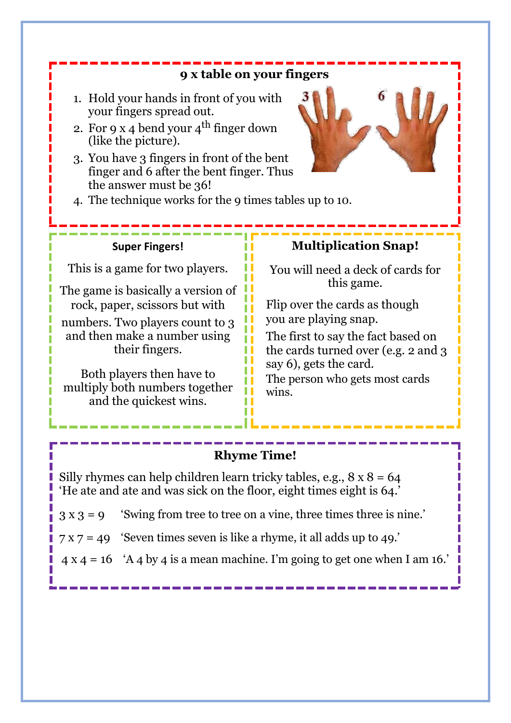

### **Rhyme Time!**

Silly rhymes can help children learn tricky tables, e.g.,  $8 \times 8 = 64$ 'He ate and ate and was sick on the floor, eight times eight is 64.'

 $3 \times 3 = 9$  'Swing from tree to tree on a vine, three times three is nine.'

7 x 7 = 49 'Seven times seven is like a rhyme, it all adds up to 49.'

 $4 \times 4 = 16$  'A 4 by 4 is a mean machine. I'm going to get one when I am 16.'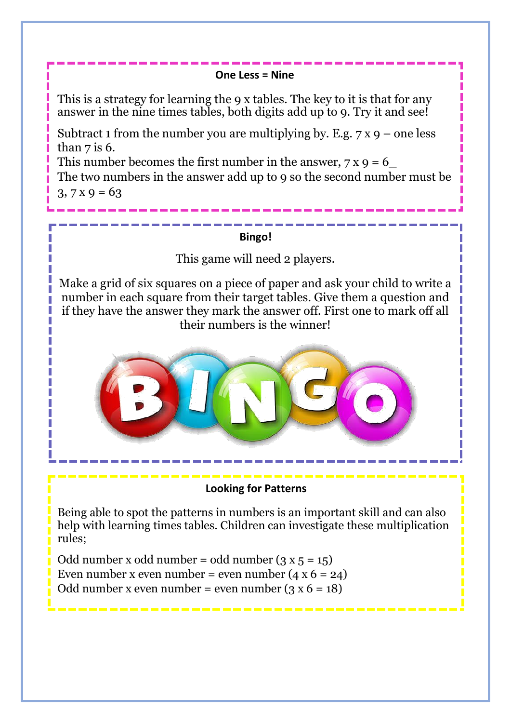#### **One Less = Nine**

This is a strategy for learning the 9 x tables. The key to it is that for any answer in the nine times tables, both digits add up to 9. Try it and see!

Subtract 1 from the number you are multiplying by. E.g.  $7 \times 9$  – one less than  $7$  is 6.

This number becomes the first number in the answer,  $7 \times 9 = 6$ 

The two numbers in the answer add up to 9 so the second number must be  $3, 7x9 = 63$ 

#### **Bingo!**

This game will need 2 players.

Make a grid of six squares on a piece of paper and ask your child to write a number in each square from their target tables. Give them a question and if they have the answer they mark the answer off. First one to mark off all their numbers is the winner!



#### **Looking for Patterns**

Being able to spot the patterns in numbers is an important skill and can also help with learning times tables. Children can investigate these multiplication rules;

Odd number x odd number = odd number  $(3 x 5 = 15)$ Even number x even number = even number  $(4 \times 6 = 24)$ Odd number x even number = even number  $(3 x 6 = 18)$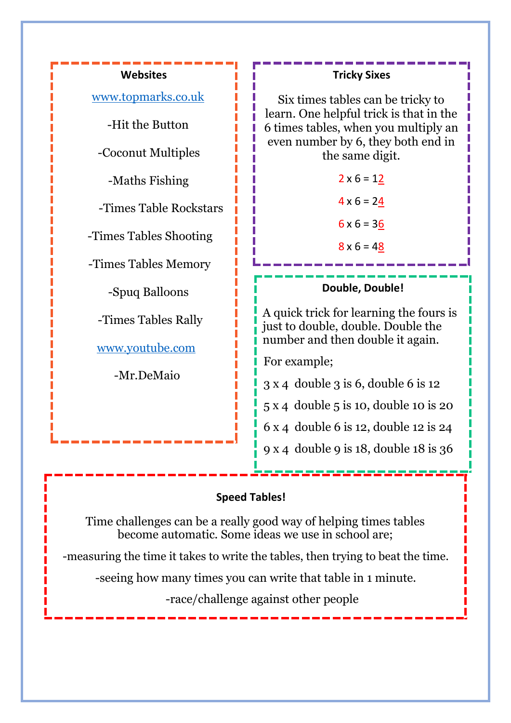#### **Websites**

[www.topmarks.co.uk](http://www.topmarks.co.uk/)

-Hit the Button

-Coconut Multiples

-Maths Fishing

-Times Table Rockstars

-Times Tables Shooting

-Times Tables Memory

-Spuq Balloons

-Times Tables Rally

[www.youtube.com](http://www.youtube.com/)

-Mr.DeMaio

**Tricky Sixes**

Six times tables can be tricky to learn. One helpful trick is that in the 6 times tables, when you multiply an even number by 6, they both end in the same digit.

> $2 \times 6 = 12$  $4 \times 6 = 24$  $6 \times 6 = 36$  $8 \times 6 = 48$

#### **Double, Double!**

A quick trick for learning the fours is just to double, double. Double the number and then double it again.

For example;

3 x 4 double 3 is 6, double 6 is 12

5 x 4 double 5 is 10, double 10 is 20

6 x 4 double 6 is 12, double 12 is 24

9 x 4 double 9 is 18, double 18 is 36

#### **Speed Tables!**

П

Time challenges can be a really good way of helping times tables become automatic. Some ideas we use in school are;

-measuring the time it takes to write the tables, then trying to beat the time.

-seeing how many times you can write that table in 1 minute.

-race/challenge against other people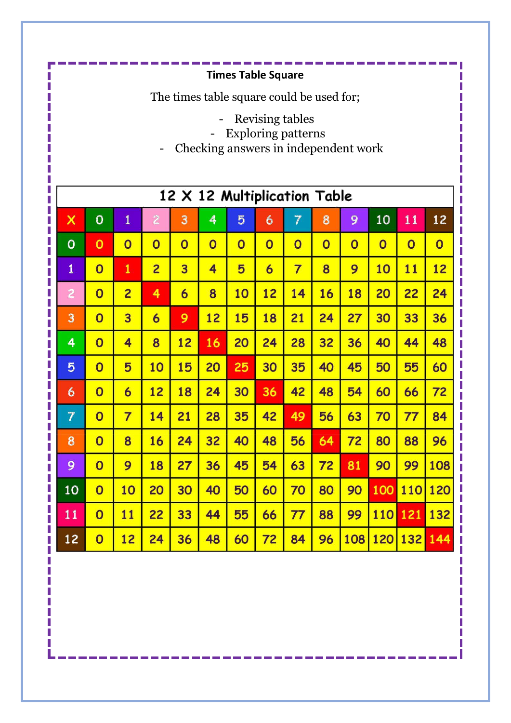**Times Table Square**

The times table square could be used for;

- Revising tables

- Exploring patterns

- Checking answers in independent work

| 12 X 12 Multiplication Table |                         |                         |                         |                         |                         |                         |                         |                         |                         |                         |                         |                         |                         |
|------------------------------|-------------------------|-------------------------|-------------------------|-------------------------|-------------------------|-------------------------|-------------------------|-------------------------|-------------------------|-------------------------|-------------------------|-------------------------|-------------------------|
| $\boldsymbol{\mathsf{x}}$    | $\mathbf 0$             | $\mathbf{1}$            | $\overline{c}$          | 3                       | 4                       | 5                       | 6                       | $\overline{7}$          | 8                       | 9                       | 10                      | 11                      | 12                      |
| $\overline{O}$               | $\mathbf 0$             | $\overline{\mathbf{0}}$ | $\overline{\mathbf{O}}$ | $\overline{\mathbf{0}}$ | $\overline{\mathbf{O}}$ | $\overline{\mathbf{O}}$ | $\overline{\mathbf{O}}$ | $\overline{\mathbf{O}}$ | $\overline{\mathbf{O}}$ | $\overline{\mathbf{O}}$ | $\overline{\textbf{O}}$ | $\overline{\textbf{O}}$ | $\overline{\textbf{O}}$ |
| $\mathbf{1}$                 | $\overline{\mathbf{O}}$ | $\mathbf{1}$            | $\overline{2}$          | $\overline{\mathbf{3}}$ | 4                       | 5                       | $\overline{6}$          | $\overline{7}$          | 8                       | 9                       | 10                      | 11                      | 12                      |
| $\overline{c}$               | $\overline{\mathbf{O}}$ | $\overline{2}$          | 4                       | $\overline{6}$          | 8                       | 10                      | 12                      | 14                      | 16                      | 18                      | 20                      | 22                      | 24                      |
| 3                            | $\overline{\mathbf{O}}$ | $\overline{3}$          | $\overline{6}$          | 9                       | 12                      | 15                      | 18                      | 21                      | 24                      | 27                      | 30                      | 33                      | 36                      |
| 4                            | $\overline{\mathbf{O}}$ | 4                       | 8                       | 12                      | 16                      | 20                      | 24                      | 28                      | 32                      | 36                      | 40                      | 44                      | 48                      |
| 5                            | $\overline{\mathbf{O}}$ | 5                       | 10                      | 15                      | 20                      | 25                      | 30                      | 35                      | 40                      | 45                      | 50                      | 55                      | 60                      |
| 6                            | $\overline{\mathbf{0}}$ | 6                       | 12                      | 18                      | 24                      | 30                      | 36                      | 42                      | 48                      | 54                      | 60                      | 66                      | 72                      |
| $\overline{7}$               | $\overline{\mathbf{O}}$ | $\overline{7}$          | 14                      | 21                      | 28                      | 35                      | 42                      | 49                      | 56                      | 63                      | 70                      | 77                      | 84                      |
| 8                            | $\overline{\mathbf{O}}$ | 8                       | 16                      | 24                      | 32                      | 40                      | 48                      | 56                      | 64                      | 72                      | 80                      | 88                      | 96                      |
| 9                            | $\overline{\mathbf{O}}$ | 9                       | 18                      | 27                      | 36                      | 45                      | 54                      | 63                      | 72                      | 81                      | 90                      | 99                      | 108                     |
| 10                           | $\overline{\mathbf{O}}$ | 10                      | 20                      | 30                      | 40                      | 50                      | 60                      | 70                      | 80                      | 90                      | 100                     | 110                     | 120                     |
| 11                           | $\overline{\mathbf{O}}$ | 11                      | 22                      | 33                      | 44                      | 55                      | 66                      | 77                      | 88                      | 99                      | 110                     | 121                     | 132                     |
| 12                           | $\overline{\mathbf{O}}$ | 12                      | 24                      | 36                      | 48                      | 60                      | 72                      | 84                      | 96                      | 108                     | 120                     | 132                     | 144                     |